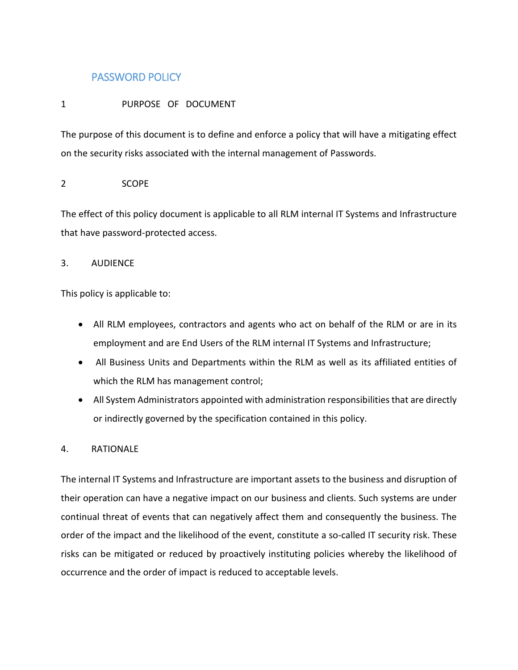# PASSWORD POLICY

## 1 PURPOSE OF DOCUMENT

The purpose of this document is to define and enforce a policy that will have a mitigating effect on the security risks associated with the internal management of Passwords.

## 2 SCOPE

The effect of this policy document is applicable to all RLM internal IT Systems and Infrastructure that have password-protected access.

## 3. AUDIENCE

This policy is applicable to:

- All RLM employees, contractors and agents who act on behalf of the RLM or are in its employment and are End Users of the RLM internal IT Systems and Infrastructure;
- All Business Units and Departments within the RLM as well as its affiliated entities of which the RLM has management control;
- All System Administrators appointed with administration responsibilities that are directly or indirectly governed by the specification contained in this policy.

## 4. RATIONALE

The internal IT Systems and Infrastructure are important assets to the business and disruption of their operation can have a negative impact on our business and clients. Such systems are under continual threat of events that can negatively affect them and consequently the business. The order of the impact and the likelihood of the event, constitute a so-called IT security risk. These risks can be mitigated or reduced by proactively instituting policies whereby the likelihood of occurrence and the order of impact is reduced to acceptable levels.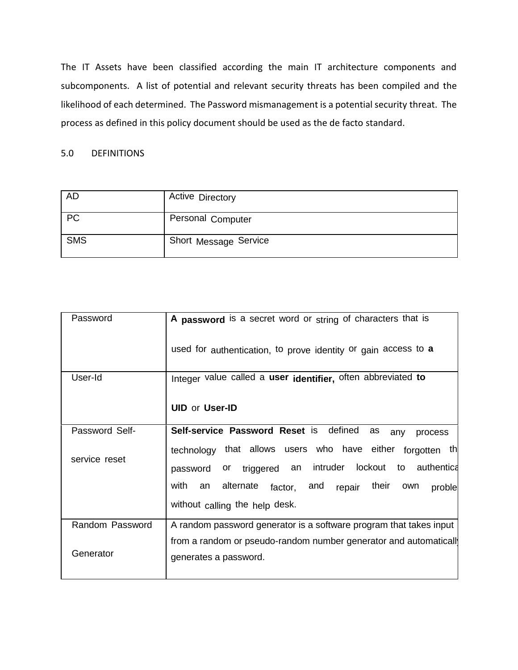The IT Assets have been classified according the main IT architecture components and subcomponents. A list of potential and relevant security threats has been compiled and the likelihood of each determined. The Password mismanagement is a potential security threat. The process as defined in this policy document should be used as the de facto standard.

## 5.0 DEFINITIONS

| <b>AD</b>  | <b>Active Directory</b> |
|------------|-------------------------|
| PC         | Personal Computer       |
| <b>SMS</b> | Short Message Service   |

| Password        | A password is a secret word or string of characters that is                                                             |
|-----------------|-------------------------------------------------------------------------------------------------------------------------|
|                 | used for authentication, to prove identity or gain access to <b>a</b>                                                   |
| User-Id         | Integer value called a user identifier, often abbreviated to                                                            |
|                 | <b>UID or User-ID</b>                                                                                                   |
| Password Self-  | Self-service Password Reset is defined<br>as<br>any<br>process                                                          |
| service reset   | technology that allows users who have either forgotten th<br>or triggered an intruder lockout to authentica<br>password |
|                 | with<br>an alternate<br>factor, and repair their own<br>proble<br>without calling the help desk.                        |
| Random Password | A random password generator is a software program that takes input                                                      |
| Generator       | from a random or pseudo-random number generator and automaticall<br>generates a password.                               |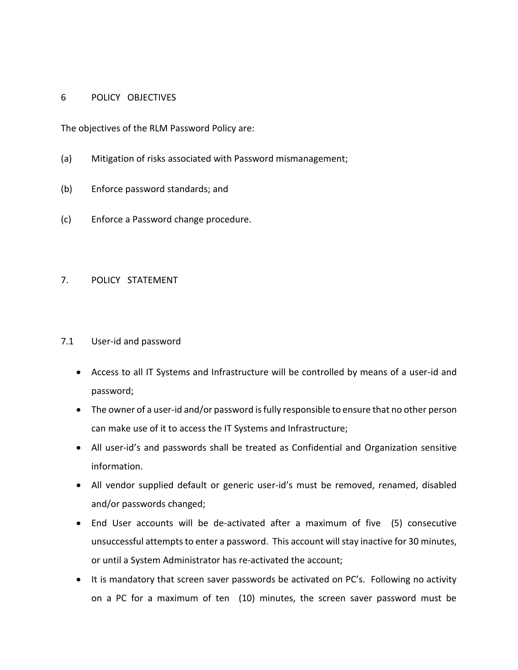### 6 POLICY OBJECTIVES

The objectives of the RLM Password Policy are:

- (a) Mitigation of risks associated with Password mismanagement;
- (b) Enforce password standards; and
- (c) Enforce a Password change procedure.

# 7. POLICY STATEMENT

- 7.1 User-id and password
	- Access to all IT Systems and Infrastructure will be controlled by means of a user-id and password;
	- The owner of a user-id and/or password is fully responsible to ensure that no other person can make use of it to access the IT Systems and Infrastructure;
	- All user-id's and passwords shall be treated as Confidential and Organization sensitive information.
	- All vendor supplied default or generic user-id's must be removed, renamed, disabled and/or passwords changed;
	- End User accounts will be de-activated after a maximum of five (5) consecutive unsuccessful attempts to enter a password. This account will stay inactive for 30 minutes, or until a System Administrator has re-activated the account;
	- It is mandatory that screen saver passwords be activated on PC's. Following no activity on a PC for a maximum of ten (10) minutes, the screen saver password must be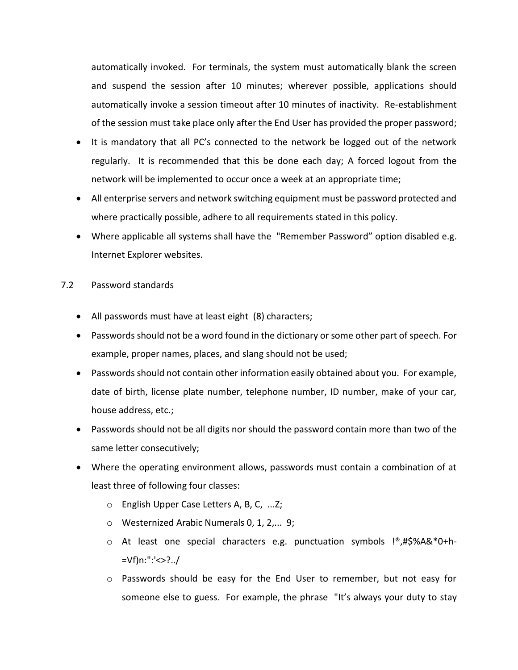automatically invoked. For terminals, the system must automatically blank the screen and suspend the session after 10 minutes; wherever possible, applications should automatically invoke a session timeout after 10 minutes of inactivity. Re-establishment of the session must take place only after the End User has provided the proper password;

- It is mandatory that all PC's connected to the network be logged out of the network regularly. It is recommended that this be done each day; A forced logout from the network will be implemented to occur once a week at an appropriate time;
- All enterprise servers and network switching equipment must be password protected and where practically possible, adhere to all requirements stated in this policy.
- Where applicable all systems shall have the "Remember Password" option disabled e.g. Internet Explorer websites.

## 7.2 Password standards

- All passwords must have at least eight (8) characters;
- Passwords should not be a word found in the dictionary or some other part of speech. For example, proper names, places, and slang should not be used;
- Passwords should not contain other information easily obtained about you. For example, date of birth, license plate number, telephone number, ID number, make of your car, house address, etc.;
- Passwords should not be all digits nor should the password contain more than two of the same letter consecutively;
- Where the operating environment allows, passwords must contain a combination of at least three of following four classes:
	- o English Upper Case Letters A, B, C, ...Z;
	- o Westernized Arabic Numerals 0, 1, 2,... 9;
	- o At least one special characters e.g. punctuation symbols !®,#\$%A&\*0+h- =Vf)n:":'<>?../
	- o Passwords should be easy for the End User to remember, but not easy for someone else to guess. For example, the phrase "It's always your duty to stay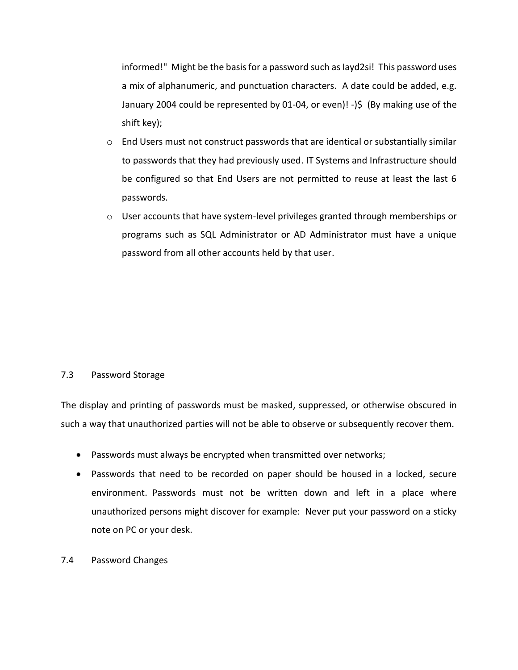informed!" Might be the basis for a password such as Iayd2si! This password uses a mix of alphanumeric, and punctuation characters. A date could be added, e.g. January 2004 could be represented by 01-04, or even)! -)\$ (By making use of the shift key);

- o End Users must not construct passwords that are identical or substantially similar to passwords that they had previously used. IT Systems and Infrastructure should be configured so that End Users are not permitted to reuse at least the last 6 passwords.
- $\circ$  User accounts that have system-level privileges granted through memberships or programs such as SQL Administrator or AD Administrator must have a unique password from all other accounts held by that user.

### 7.3 Password Storage

The display and printing of passwords must be masked, suppressed, or otherwise obscured in such a way that unauthorized parties will not be able to observe or subsequently recover them.

- Passwords must always be encrypted when transmitted over networks;
- Passwords that need to be recorded on paper should be housed in a locked, secure environment. Passwords must not be written down and left in a place where unauthorized persons might discover for example: Never put your password on a sticky note on PC or your desk.
- 7.4 Password Changes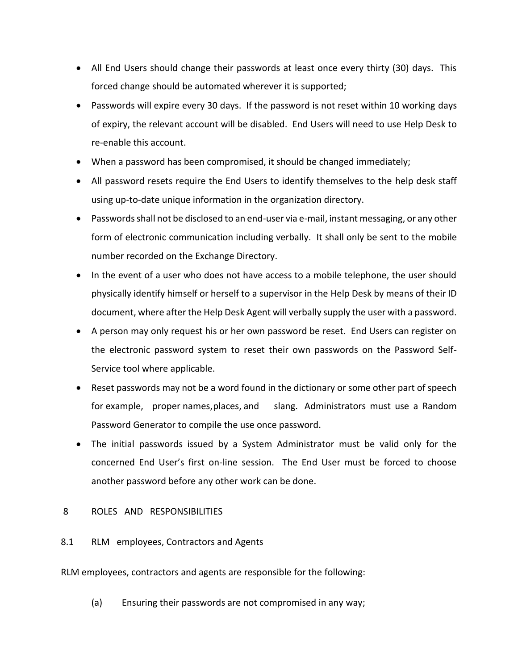- All End Users should change their passwords at least once every thirty (30) days. This forced change should be automated wherever it is supported;
- Passwords will expire every 30 days. If the password is not reset within 10 working days of expiry, the relevant account will be disabled. End Users will need to use Help Desk to re-enable this account.
- When a password has been compromised, it should be changed immediately;
- All password resets require the End Users to identify themselves to the help desk staff using up-to-date unique information in the organization directory.
- Passwords shall not be disclosed to an end-user via e-mail, instant messaging, or any other form of electronic communication including verbally. It shall only be sent to the mobile number recorded on the Exchange Directory.
- In the event of a user who does not have access to a mobile telephone, the user should physically identify himself or herself to a supervisor in the Help Desk by means of their ID document, where after the Help Desk Agent will verbally supply the user with a password.
- A person may only request his or her own password be reset. End Users can register on the electronic password system to reset their own passwords on the Password Self-Service tool where applicable.
- Reset passwords may not be a word found in the dictionary or some other part of speech for example, proper names,places, and slang. Administrators must use a Random Password Generator to compile the use once password.
- The initial passwords issued by a System Administrator must be valid only for the concerned End User's first on-line session. The End User must be forced to choose another password before any other work can be done.

## 8 ROLES AND RESPONSIBILITIES

8.1 RLM employees, Contractors and Agents

RLM employees, contractors and agents are responsible for the following:

(a) Ensuring their passwords are not compromised in any way;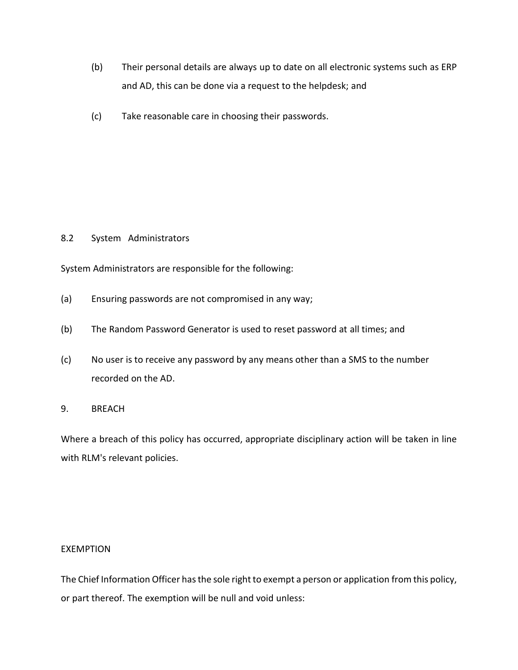- (b) Their personal details are always up to date on all electronic systems such as ERP and AD, this can be done via a request to the helpdesk; and
- (c) Take reasonable care in choosing their passwords.

### 8.2 System Administrators

System Administrators are responsible for the following:

- (a) Ensuring passwords are not compromised in any way;
- (b) The Random Password Generator is used to reset password at all times; and
- (c) No user is to receive any password by any means other than a SMS to the number recorded on the AD.

#### 9. BREACH

Where a breach of this policy has occurred, appropriate disciplinary action will be taken in line with RLM's relevant policies.

#### EXEMPTION

The Chief Information Officer has the sole right to exempt a person or application from this policy, or part thereof. The exemption will be null and void unless: